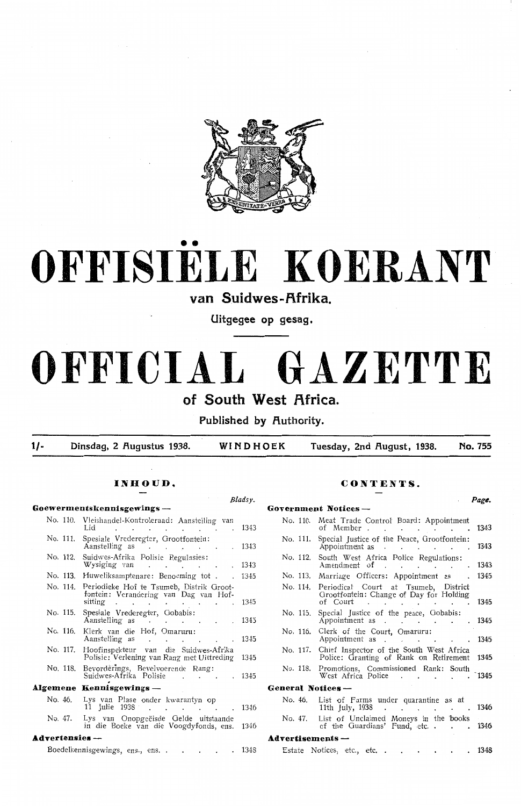

# •• **OFFISIELE KOERANT**

## van Suidwes-Afrika.

**Uitgegee op gesag.** 

# **OFFICIAL GAZETTE**

## **of South West Africa.**

**Published by Authority.** 

**1/- Dinsdag, 2 f\ugustus 1938. WINDHOEK Tuesday, 2nd f\ugust, 1938. No. 755** 

|                                 |                                                                                                                                                                    | Bladsy. |                                                                                                           | Page. |
|---------------------------------|--------------------------------------------------------------------------------------------------------------------------------------------------------------------|---------|-----------------------------------------------------------------------------------------------------------|-------|
| Goewermentskennisgewings-       |                                                                                                                                                                    |         | Government Notices -                                                                                      |       |
|                                 | No. 110. Vleishandel-Kontroleraad: Aanstelling van<br>Lid 1343                                                                                                     |         | No. 110. Meat Trade Control Board: Appointment<br>of Member 1343                                          |       |
|                                 | No. 111. Spesiale Vrederegter, Grootfontein:<br>Aanstelling as 1343                                                                                                |         | No. 111. Special Justice of the Peace, Grootfontein:<br>Appointment as 1343                               |       |
|                                 | No. 112. Suidwes-Afrika Polisie Regulasies:<br>Wysiging van 1343                                                                                                   |         | No. 112. South West Africa Police Regulations:<br>Amendment of 1343                                       |       |
|                                 | No. 113. Huweliksamptenare: Benoeming tot 1345                                                                                                                     |         | No. 113. Marriage Officers: Appointment as 1345                                                           |       |
|                                 | No. 114. Periodieke Hof te Tsumeb, Distrik Groot-<br>fontein: Verandering van Dag van Hof-<br>sitting $\cdot \cdot \cdot \cdot \cdot \cdot \cdot \cdot \cdot 1345$ |         | No. 114. Periodical Court at Tsumeb, District<br>Grootfontein: Change of Day for Holding<br>of Court 1345 |       |
|                                 | No. 115. Spesiale Vrederegter, Gobabis:<br>Spesiale vieuelegier, GODaDIS:<br>Aanstelling as 1345                                                                   |         | No. 115. Special Justice of the peace, Gobabis:<br>Appointment as 1345                                    |       |
|                                 | No. 116. Klerk van die Hof, Omaruru:<br>Aanstelling as 1345                                                                                                        |         | No. 116. Clerk of the Court, Omaruru:<br>Appointment as 1345                                              |       |
|                                 | No. 117. Hoofinspekteur van die Suidwes-Afrika<br>Polisie: Verlening van Rang met Uittreding 1345                                                                  |         | No. 117. Chief Inspector of the South West Africa<br>Police: Granting of Rank on Retirement 1345          |       |
|                                 | No. 118. Bevorderings, Bevelvoerende Rang:<br>Suidwes-Afrika Polisie 1345                                                                                          |         | No. 118. Promotions, Commissioned Rank: South<br>West Africa Police 1345                                  |       |
| <b>Algemene Kennisgewings</b> - |                                                                                                                                                                    |         | General Notices-                                                                                          |       |
|                                 | No. 46. Lys van Plase onder kwarantyn op<br>11 Julie 1938 1346                                                                                                     |         | No. 46. List of Farms under quarantine as at<br>11th July, 1938 1346                                      |       |
|                                 | No. 47. Lys van Onopgeëisde Gelde uitstaande<br>in die Boeke van die Voogdyfonds, ens. 1346                                                                        |         | No. 47. List of Unclaimed Moneys in the books<br>of the Guardians' Fund, etc. 1346                        |       |
| <b>Advertensies</b> --          |                                                                                                                                                                    |         | $Advert isements -$                                                                                       |       |
|                                 |                                                                                                                                                                    |         | Boedelkennisgewings, ens., ens. 1348 Estate Notices, etc., etc. 1348                                      |       |
|                                 |                                                                                                                                                                    |         |                                                                                                           |       |

#### **INHOUD. CONTENTS.**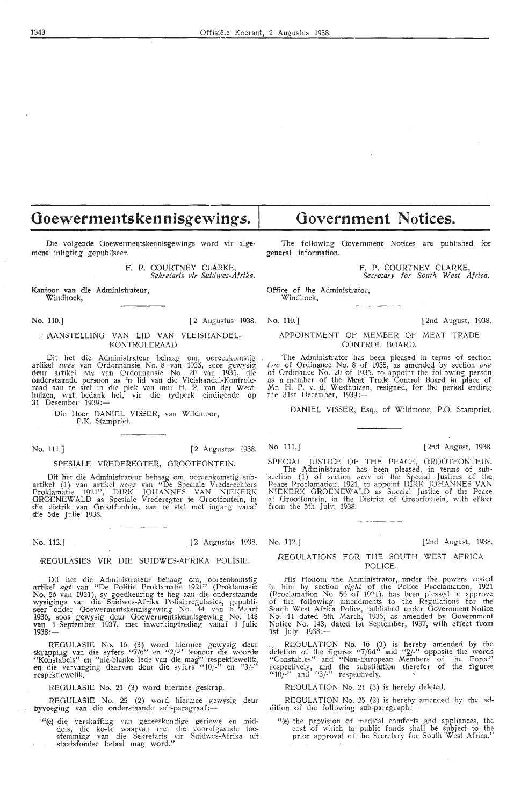## **Goewermentskennisgewings.** I

Die volgende Goewermentskennisgewings word vir algemene inligting gepubliseer.

F. P. COURTNEY CLARKE, *Sekretaris vir Suidwes-Af rika.* 

Kantoor van die Administrateur, Windhoek,

No. 110.) [2 Augustus 1938. No. 110.) [2nd August, 1938.

#### *1* (AANSTELLING VAN LID VAN VLEISHANDEL-KONTROLERAAD.

Dit het die Administrafour behaag om, ooreenkomstig artikel *twee* van Ordonnansie No. 8 van 1935, soos gewysig deur artikel *een* van Ordonnansie No. 20 van 1935, die onderstaande persoon as 'n lid van die Vleishaadel-Kontroleraad aan te stel in die plek van mur H. P. van der Westhuizen, wat bedank het, vir die tydperk eindigende op **31** Desember 1939:-

> Die Heer DANIEL VISSER, van Wildmoor, P.K. Stampriet.

#### SPESIALE VREDEREGTER, GROOTFONTEIN.

Dit bet die Administrateur behaag om, ooreenkomstig suba**rtikel (1) van artikel** nege van "De Speciale Vrederechters Proklamatie 1921", DIRK JOHANNES VAN NIEKERK OROENEWALD as Spesiale Vrederegter te Grootfontein, in die distrik van Grootfontein, aan te stel met ingang vanaf die Sde Julie 1938.

#### ·REGULASIES VIR DIE SUIDWES-AFRIKA POLISIE.

Dit het die Administrateur behaag om, ooreenkomstig<br>artikel *agt* van "De Politie Proklamatie 1921" (Proklamasie **No.** 56 van 1921), sy goedkeuring te heg aan die onderstaande wysigings van die Suidwes-Afrika Polisieregulasies, gepubli-<br>seer onder Goewermentskennisgewing No. 44 van 6 Maart 1936, soos gewysig deur Goewermentskennisgewing No. 148<br>**van 1** September 1937, met inwerkingtreding vanaf 1 Julie **1938:-**

REGULASIE No. 16 (3) word hiermee gewysig deur skrapping van die syfers "7/6" en "2/-" teenoor die woorde "Konstabels" en "nie-blanke lede van die mag" respektiewelik, en die vervanging daarvain deur die syfers "10/-" en "3/·" respektiewelik.

REOULASIE No. 21 (3) word hiermee geskrap.

REGULASIE No. 25 (2) word hiermee gewysig deur byvoeging van die onderstaande sub-paragraaf :-

" (e) die verskaffing van geneeskundige geriewe en middels, die koste waarvan met die voorafgaande toestemming van die Sekretaris vir Suidwes-Afrika uit staatsfondse betaal mag word."

## **Government Notices.**

The following Government Notices are published for general information.

F. P. COURTNEY CLARKE,

*Secretary* for *South West Africa.* 

Office of the Administrator, Windhoek,

#### APPOINTMENT OF MEMBER OF MEAT TRADE CONTROL BOARD.

The Administrator has been pleased in terms of section *two* of Ordinance No. 8 of 1935, as amended by section *one* of Ordinance No. 20 of 1935, to appoint the following person as a member of the Meat Trade Control Board in place of Mr. H. P. v. d. Westhuizen, resigned, for the period ending the 31st December, 1939 :-

DANIEL VISSER, Esq., of Wildmoor, P.O. Stampriet.

No. 111.] [2 Augustus 1938. No. 111.] [2nd August, 1938.

SPECIAL JUSTICE OF THE PEACE, OROOTFONTEIN. The Administrator has been pleased, in terms of subsection (1) of section *nin?* of the Special Justices of the Peace Proclamation, 1921, to appoint DIRK JOHANNES VAN NIEKERK OROENEWALD as Special Justice of the Peace at Grootfontein, in the District of Orootfontein, with effect from the 5th July, 1938.

#### No. 112.] [2 Au\_gustus 1938. No. 112.] [2nd August, 1938.

#### REGULATIONS FOR THE SOUTH WEST AFRICA POLICE.

His Honour the Administrator, under the powers vested<br>in him by section *eight* of the Police Proclamation, 1921 (Proclamation No. 56 of 1921), has been pleased to approve of the following amendments to the Regulations for the South West Africa Police, published under Government Notice No. 44 dated 6th March, 1936, as amended by Government Notice No. 148, dated 1st September, 1937, with effect from 1st July 1938:-

··. REGULATION No. 16 (3) is hereby amended by the deletion of the figures "7/6d" and *"Y-"* opposite the words "Constables" and "Non-Europeam Members of the Force" respectively, and the substitution therefor of the figures " $10/-$ " and " $3/-$ " respectively.

REGULATION No. 21 (3) is hereby deleted.

REGULATION No. 25 (2) is hereby amended by the addition of the following sub-paragraph:-

"(e) the provision of medical comforts and appliances, the cost of which to public funds shall be subject to the prior approval of the Secretary for South West Africa."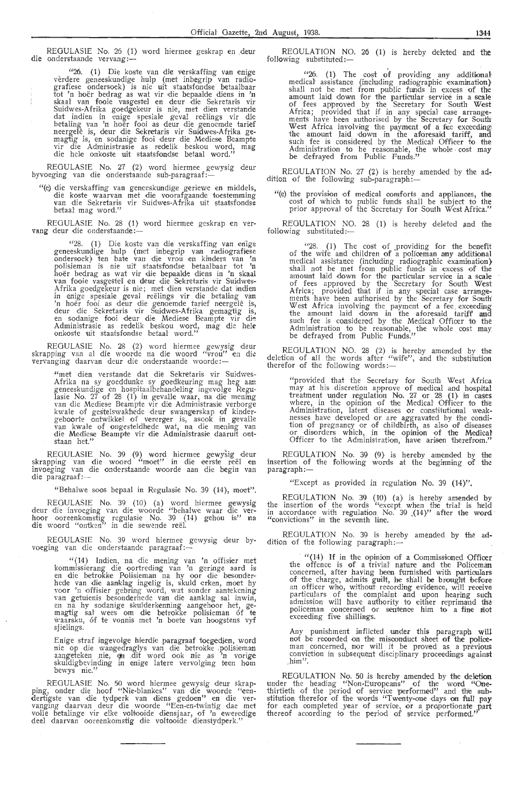REGULASIE No. 26 (1) word hiermee geskrap en .deur die onderstaande vervang :-

"26. (1} Die koste van die verskaffing van enige verdere geneeskundige hulp (met inbegrip van radiografiese ondersoek) is nie uit staatsfondse betaalbaar tot 'n hoër bedrag as wat vir die bepaalde diens in 'n skaal van fooie vasgestel en deur die Sekretaris vir<br>Suidwes-Afrika goedgekeur is nie, met dien verstande dat indien in enige spesiaie geval reelings vir die betaling van 'n hoer fooi as deur die genoemde tarief neergele is, deur die Sekretaris vir Suidwes-Afrika gemagtig *is,* en sodanige fooi deur di,e Mediese Beampte vir die Administrasie as redelik beskou word, mag die hele onkoste uit staatsfondse betaal word."

REGULASIE No. 27 (2) word hiermee gewysig deur<br>byvoeging van die onderstaande sub-paragraaf:—

"(e) die verskaffing van geneeskundige geriewe en middels, die koste waarvan met die voorafgaande toestemming van die Sekretaris vir Suidwes-Afrika uit staatsfondse betaal mag word."

REGULASIE No. 28 (1) word hiermee geskrap en ver-<br>vang deur die onderstaande:-

"28. (1) Die koste van die verskaffing van enige geneeskundige hulp (met inbegrip van radiografiese ondersoek) ten bate van die vrou en kinders van 'n polisieman is nie uit staatsfondse betaalbaar tot **'n** hoër bedrag as wat vir die bepaalde diens in 'n skaal<br>van fooie vasgestel en deur die Sekretaris vir Suidwes-Afrika goedgekeur is nie; met dien verstande dat indien in enige spesiale geval reëlings vir die betaling van<br>'n hoër fooi as deur die genoemde tarief neergelê is, deur die Sekretaris vir Suidwes-Afrika gemagtig is,<br>en sodanige fooi deur die Mediese Beampte vir die Administrasie as redelik beskou word, mag die hele onkoste uit staatsfondse betaal word."

REGULASIE No. 28 (2) word hiermee gewysig deur skrapping van al die woorde na die woord "vrou" en die<br>vervanging daarvan deur die onderstaande woorde:—

> "met dien verstande dat die Sekretaris vir Suidwes-Afrika na sy goeddunke sy goedkeuring mag heg aan<br>geneeskundige en hospitaalbehandeling ingevolge Regulasie No. 27 of 28 (1) in gevalle waar, na die mening<br>van die Mediese Beampte vir die Administrasie verborge kwale of gestelswakhede deur swangerskap of kindergeboorte ontwikkel of vererger is, asook in gevalle van kwale of ongesteldhede wat, na die mening van<br>die Mediese Beampte vir die Administrasie daaruit ontstaan het."

REGULASIE No. 39 (9) word hiermee gewysig deur skrapping van die woord "moet" in die eerste reël en<br>invoeging van die onderstaande woorde aan die begin van<br>die paragraaf:—

"Behalwe soos bepaal in Regulasie No. 39 (14), moet".

REGULASIE No. 39 (10) (a) word hiermee gewysig deur die invoeging van die woorde "behalwe waar die ver-<br>hoor ooreenkomstig regulasie No. 39 (14) gehou is'' na<br>die woord "ontken'' in die sewende reël.

REGULASIE No. 39 word hiermee gewysig deur byvoeging van die onderstaande paragraaf:-

"(14) Indien, na die mening van 'n offisier met kommissierang die oortreding van 'n geringe aard is<br>en die betrokke Polisieman na hy oor die besonderhede van die aanklag ingelig is, skuld erken, moet hy<br>voor 'n offisier gebring word, wat sonder aantekening<br>van getuienis besonderhede van die aanklag sal inwin,<br>en na hy sodanige skulderkenning aangehoor het, gemagtig sal wees om die betrokke polisieman óf te ,,·aarsku, 6f te vonnis met *'n* boete van hoogstens vyf sjielings.

Enige straf ingevolge hierdie paragraaf toegedien, word nie op die wangedraglys van die betrokke polisieman aangeteken nie, om dit word ook nie as 'n vorige skuldigbevinding in enige latere vervolging teen hom bewys nie."

REGULASIE No. 50 word hiermee gewysig deur skrapping, onder die hoof "Nie-blankes" van die woorde "eendertigste van die tydperk van diens gedoen" en die ver-<br>vanging daarvan deur die woorde "Een-en-twintig dae met volle betalinge vir elke voltooide diensjaar, of 'n eweredige deel daarvan ooreenkomstig die voltooide dienstydperk."

REGULATION NO. 26 (1) is hereby deleted and the following substituted:-

"26. (1) The cost of providing any additional medical assistance (including radiographic examination)<br>shall not be met from public funds in excess of the amount laid down for the particular service in a sca1e of fees approved by the Secretary for South West Africa; provided that if in any special' case arrangements have been authorised by the Secretary for South<br>West Africa involving the payment of a fee exceeding the amount laid down in the aforesaid tariff, and such fee is considered by the Medical Officer to the<br>Administration to be reasonable, the whole cost may be defrayed from Public Funds."

REGULATION No. 27 (2) is hereby amended by the addition of the following sub-paragraphi-

"(e) the provision of medical comforts and appliances, the cost of which to public funds shall be subject to the prior approval of the Secretary for South West Africa.''

REGULATION NO. 28 (1) is hereby deleted and the following substituted:-

 $^{\prime\prime}$ 28. (1) The cost of providing for the benefit of the wife and children of a policeman any additional medical assistance (including radiographic examination} shall not be met from public funds *in* excess of the amount laid down for the particular servioe in a scale of fees approved by the Secretary for South West Africa; provided that if in any special case arrangements have been authorised by the Secretary for Soutn West Africa involving the payment of a fee. exceeding the amount laid down in the aforesaid tariff and such fee is considered by the Medical Officer to the Administration to be reasonable, the whole cost may be defrayed from Public Funds.''

REGULATION NO. 28 (2) is hereby amended by the deletion of all the words after "wife", and the substitution therefor of the following words:—

"provided that the Secretary for South West Africa may at his discretion approve of medical and hospital treatment under regulation No. 27 or 28 (1) in cases where, in the opinion of the Medical Officer to the Administration, latent diseases or constitutional weaknesses have developed or are aggravated by the condition of pregnancy or of childbirth, as also of diseases or disorders which, in the opinion of the Medical Officer to the Administration, have arisen therefrom.''

REGULATION No. 39 (9) is hereby amended by the insertion of the following words at the beginning of the paragraph:-

"Except as provided in regulation No. 39 (14}".

REGULATION No. 39 (10) (a) *is* hereby amended by the insertion of the words "except when the trial is held in accordance with regulation No. 39  $(14)$ " after the word "convictions" in the seventh line.

REGULATION No. 39 is hereby amended by the addition of the following paragraph:-

> $''(14)$  If in the opinion of a Commissioned Officer the offence is of a trivial nature and the Policeman concerned, after having been furnished with particulars of the charge, admits guilt, he shall be brought before<br>an officer who, without recording evidence, will receive particulars of the complaint and upon hearing such<br>admission will have authority to either reprimand the policeman concerned or sentence him to a fine mot<br>exceeding five shillings.

Any punishment inflicted under this paragraph will not be recorded on the misconduct sheet of the police-<br>man concerned, nor will it be proved as a previous conviction in subsequent disciplinary proceedings against him".

REGULATION No. 50 is hereby amended by the deletion under the heading "Non-Europeans" of the word "Onethirtieth of the period of service performed" and the substitution therefor of the words "Twenty-one days on full pay for each completed year of service, or a proportionate part thereof according to the period of service performed."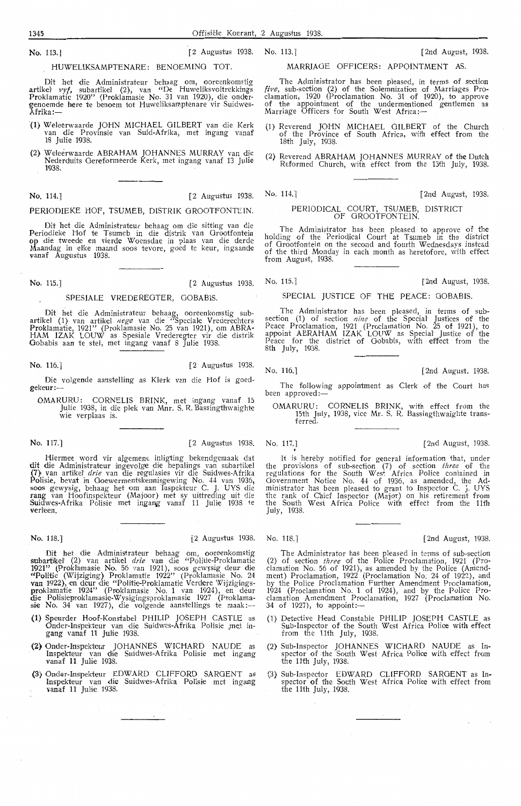HUWELIKSAMPTENARE: BENOEMING TOT.

Dit het die Administrateur behaag om, ooreenkomstig artiket *vyf,* subartikel (2}, van "De Huweliksvoltrekkrngs Proklamatie 1920" (Proklamasie No. 31 van 1920), die ondergenoemde here te benoem tot Huweliksamptenare vir Suidwes-Afrika:-

- **(1}** Wefoerwaarde JOHN MICHAEL GILBERT van die K,erk van die Provinsie van Suid-Afri.ka, met ingang vanaf 18 Julie 1938.
- (2), Weleerwaarde ABRAHAM JOHANNES MURRAY van dit Nederduits Gereformeerde Kerk, met ingang vanaf 13 Julie 1938.

PERIODIEKE HOF, TSUMEB, DISTRIK GROOTFONTEIN.

Dit het die Administrateur behaag om die sitting van die Periodieke Hof te Tsumeb in die distrik van Grootfontein op die tweede en vierde Woensdae in plaas van die derde Maandag in elke maand soos tevore, goed te keur, ingaande **v**anaf Augustus 1938.

No. 115.] [2nd August, 1938. [2 Augustus 1938. No. 115.] [2nd August, 1938.

#### SPESIALE VREDEREGTER, GOBABIS.

Dit het die Administrateur behaag, ooreenkomstig sub-<br>artikel (1) van artikel *nege* van die ''Speciale Vrederechters<br>Proklamatie, 1921'' (Proklamasie No. 25 van 1921), om ABRA-**HAM** IZAK LOUW as Spesiale Vrederegter vir die distrik Gobabis aan te stet-, met ingang vanaf 8 Julie 1938.

No. 116.] [2 Augustus 1938.

Die volgende aanstelling as Klerk van die Hof is goed-gekeur:---

OMARURU: CORNELIS BRINK, met ingang vanaf 15 Julie 1938, in die plek van Mnr. S. R. Bassingthwaighte wie verplaas is.

No. 117.] [2 Augustus 1938. No, 117.] [2nd August, 1938 .

Hiermee word vir algemene inligting bekendgemaak dat dit die Administrateur ingevolge die bepalings van subartikel (7) van artikel *drie* van die regulasies vir die Suidwes-Afrika Polisie, bevat in Goewermentskennisgewing No. 44 van 1936, soos gewysig, behaag het om aan Inspekteur C. J. UYS die **rang** van Hoofinspekteur (Majoor} met sy uittreding uit die Suidwes-Afrika Polisie met ingang vanaf 11 Julie 1938 te **verl!een.** 

No. 118.] [2 Augustus 1938. No. 118.] [2nd August, 1938.

Dit het die Administrateur behaag om, ooreenkomstig S!Ubartikel' (2) van artikel *drie* van die "PoHtie-Proklamatie **1921"** (Proklamasie No. 56 van 1921), soos gewysig deur die "Politie (Wijziging) Proklamatie 1922" (Proklamasie No. 24<br>van 1922), en deur die "Politie-Proklamatie Verdere Wijzigingsproklamati,e 1924" (Proklamasie No. 1 van 1924), en deur die Polisieproklamasie-Wysigingsproklamasie 1927 (Proklama-<br><mark>sie No</mark>. 34 van 1927), die volgende aanstellings te maak :--

- **(1)** Speurder Hoof-Konstabd PHILIP JOSEPH CASTLE as Onder-linspekteur van die Suidwes-Afrika Polisi,e ,me,t ingang vanaf 11 Julie 1938.
- (2) Onder-Inspekteur JOHANNES WICHARD NAUDE as Inspekteur van die Suidwes-Afrika Polisie met ingang vanaf 11 Julie 1938.
- (3) Onder-Inspekteur EDWARD CLIFFORD SARGENT as Inspekteur van die Suidwes-Afrika Polisie met ingang vanaf **11** JuH,e 1938.

#### MARRIAGE OFFICERS: APPOINTMENT AS.

The Administrator has been pleased, in terms of section five, sub-section (2} of the Solemnization of Marriages Proclamation , 1920 (Proclamation No. 31 of 1920}, to approve of the appointment of the undermentioned gentlemen as Marriage Officers for South West Africa:-

- (1) Reverend JOHN MICHAEL GILBERT of the Church of the Province of South Africa, with effect from the 18th July, 1938.
- (2) Reverend ABRAHAM JOHANNES MURRAY of the Dutch Reformed Church, with effect from the 13th July, 1938.

No. 114.] [2 Augustus 1938. No. 114.] [2nd August, 1938.

#### PERIODICAL COURT, TSUMEB, DISTRICT OF GROOTFONTEIN.

The Administrator has been pleased to approve of the holding of the Periodical Court at Tsumeb in the district of Grootfontein on the second and fourth Wednesdays instead of the third Monday in each month as heretofore, with effect from August, 1938.

#### SPECIAL JUSTICE OF THE PEACE: GOBABIS.

The Administrator has been pleased, in terms of subsection (1} of section *nine* of the Special Justioes of the Peace Proclamation, 1921 (Proclamation No. 25 of 1921), to appoint ABRAHAM IZAK LOUW as Special Justice of the Peace for the district of Oobabis, with effect from the 8th July, 1938.

No. 116.] [2nd August. 1938.

The following appointment as Clerk of the Court has been approved:-

OMARURU: CORNELIS BRINK, with effect from the 15th July, 1938, vice Mr. S. R. Bassingthwaighte transferred.

117.] [2nd August, 1938.<br>It is hereby notified for general information that, under the provisions of sub-section (7) of section *three* of the regulations for the South West Africa Police contained in Government Notice No. 44 of 1936, as amended, the Administrator has been pleased to grant to Inspector C. J. UYS the rank of Chief Inspector (Major) on his retirement from the South West Africa Police with effect from the 11th July, 1938.

The Administrator has been pleased in terms of sub-section (2) of section *three* of the Police Proclamation, 1921 (Pro-clamation No. 56 of 1921 }, as amended by the Police (Amendment) Proclamation, 1922 (Proclamation No. 24 of 1922), and by the Police Proclamation Further Amendment Proclamation, 1924 (Proclamation No. 1 of 1924), and by the Police Proclamation Amendment Proclamation, 1927 (Proclamation No. 34 of 1927), to appoint:-

- (1) Detective Head Constable PHILIP JOSEPH CASTLE as Sub-Inspector of the South West Africa Polioe with effect from the 11th July, 1938.
- {2} Sub-Inspector JOHANNES WICHARD NAUDE as Inspector of the South West Africa Police with effect from the 11th July, 1938.
- (3) Sub-Inspector EDWARD CLIFFORD SARGENT as Inspector of the South West Africa Police with effect from the 11th July, 1938.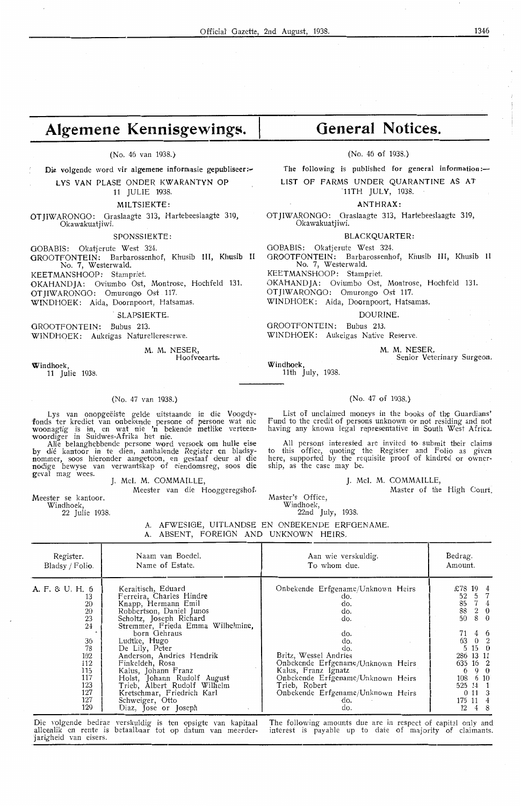## Algemene Kennisgewings.

(No. 46 van 1938.}

Die volgende word vir algemene informasie gepubliseer :-LYS VAN PLASE ONDER KWARANTYN OP

11 JULIE 1938.

#### MILTSIEKTE:

OTJIWARONGO: Graslaagte 313, Hartebeeslaagte 319, Okawakuatjiwi.

SPONSSIEKTE:

OOBABIS: Okatjerute West 324. OROOTFONTEIN: Barbarossenhof, Khusib III, Khusib II

No. 7, Westerwald.

KEETMANSHOOP: Stampriet.

OKAHANDJA: Oviumbo Ost, Montrose, Hochfeld 131. OTJIWARONGO: Omurongo Ost 117.

WINDHOEK: Aida, Doornpoort, Hatsamas.

#### . SLAPSIEKTE.

GROOTFONTEIN: Bubus 213. WINDHOEK: Aukeigas Naturellereserwe.

Hoofveearts.

M. M. NESER,

Windhoek, 11 Julie 1938.

#### (No. 47 van 1938.)

Lys van onopgeeiste gelde uitstaande in die Voogdy-<br>fonds ter krediet van onbekende persone of persone wat nie woonagtig is in, en wat nie 'n bekende metlike verteen• woordiger in Suidwes-Afrika het nie.

Alle belanghebbende persone word versoek om hulle eise by die kantoor in te dien, aanhalende Register en bladsynommer, soos hieronder aangetoon, en gestaaf deur al die nodige bewyse van verwantskap of eiendomsreg, soos die geval mag wees.<br>J. McI. M. COMMAILLE,

Meester van die Hooggeregshof.

Meester se kantoor.<br>Windhoek,

22 Julie 1938.

# **General Notices.**

#### (No. 46 of 1938.)

The following is published for general information:-LIST OF FARMS UNDER QUARANTINE AS AT

-11TH JULY, 1938.

**ANTHRAX:** 

OTJIWARONOO: Oraslaagte 313, Hartebeeslaagte 319, Okawakuatjiwi.

#### BLACKQUARTER:

GOBABIS: Okatjerute West 324. GROOTFONTEIN: Barbarossenhof, Khusib III, Khusib II No. 7, Westerwald.

KEETMANSHOOP: Stampriet.

OKAHANDJA: Oviumbo- Ost, Montrose, Hochfeld 131. OTJIWARONOO: Omurongo Ost 117.

WINDHOEK: Aida, Doornpoort, Hatsamas.

DOURINE.

OROOTFONTEIN: Bubus 213. WINDHOEK: Aukeigas Native Reserve.

**M . M.** NESER,

Senior Veterinary Surgeon.

Windhoek, 11th July, 1938.

#### (No. 47 of 1938.)

List of unclaimed moneys in the books of the Guardians' Fund to the credit of persons unknown or not residing and not having any known legal representative in South West Africa.

All persons interesbed are invited to submit their claims to this office, quoting the Register and Folio as given here, supported by the requisite proof of kindred or owner-<br>ship, as the case may be.

**J. Mel. M.** COMMAILLE,

Master of the High Court.

Master's Office, Windhoek,

22nd July, 1938.

A. AFWESI0E, UITLANDSE EN ONBEKENDE ERFGENAME. A. ABSENT, FOREIGN AND UNKNOWN HEIRS,

| Register.<br>Bladsy / Folio.                                                                                      | Naam van Boedel.<br>Name of Estate.                                                                                                                                                                                                                                                                                                                                                                                                | Aan wie verskuldig.<br>To whom due.                                                                                                                                                                                                                                              | Bedrag.<br>Amount.                                                                                                                                                                                                                                         |
|-------------------------------------------------------------------------------------------------------------------|------------------------------------------------------------------------------------------------------------------------------------------------------------------------------------------------------------------------------------------------------------------------------------------------------------------------------------------------------------------------------------------------------------------------------------|----------------------------------------------------------------------------------------------------------------------------------------------------------------------------------------------------------------------------------------------------------------------------------|------------------------------------------------------------------------------------------------------------------------------------------------------------------------------------------------------------------------------------------------------------|
| A. F. & U. H. 6<br>13<br>20<br>20<br>23<br>24<br>36<br>78<br>102<br>112<br>115<br>117<br>123<br>127<br>127<br>129 | Keraitisch, Eduard<br>Ferreira, Charles Hindre<br>Knapp, Hermann Emil<br>Robbertson, Daniel Junos<br>Scholtz, Joseph Richard<br>Stremmer, Frieda Emma Wilhelmine,<br>born Gehraus<br>Ludtke, Hugo<br>De Lily, Peter<br>Anderson, Andries Hendrik<br>Finkeldeh, Rosa<br>Kalus, Johann Franz<br>Holst, Johann Rudolf August<br>Trieb, Albert Rudolf Wilhelm<br>Kretschmar, Friedrich Karl<br>Schweiger, Otto<br>Diaz, Jose or Joseph | Onbekende Erfgename/Unknown Heirs<br>do.<br>do.<br>do.<br>do.<br>do.<br>do.<br>do.<br>Britz, Wessel Andries<br>Onbekende Erfgename/Unknown Heirs<br>Kalus, Franz Ignatz<br>Onbekende Erfgename/Unknown Heirs<br>Trieb, Robert<br>Onbekende Erfgename/Unknown Heirs<br>do.<br>do. | £78<br>$19 \quad 4$<br>5 7<br>52<br>$7\quad4$<br>85<br>$2\quad 0$<br>88<br>8 0<br>50<br>$4\quad6$<br>71<br>63<br>$0\quad 2$<br>$15 \quad 0$<br>5<br>286 13 11<br>635 16 2<br>9 0<br>6<br>108<br>6 10<br>525 14 1<br>$0 \; 11 \; 3$<br>175 11 4<br>12<br>48 |
|                                                                                                                   |                                                                                                                                                                                                                                                                                                                                                                                                                                    | Die volgende bedrag verskuldig is ten opsigte van kapitaal. The following amounts due are in respect of capital only and                                                                                                                                                         |                                                                                                                                                                                                                                                            |

Die volgende bedrae verskuldig is ten opsigte van kapitaal alleenlik en rente is betaalbaar tot op datum van meerderjarigheid van eisers.

The following amounts due are in respect of capital only and interest is payable up to date of majority of claimants.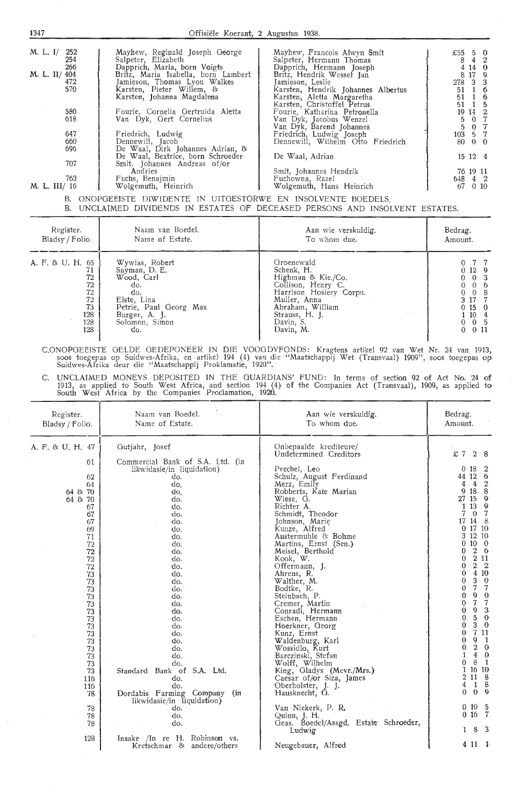| M. L. I/ 252  | Mayhew, Reginald Joseph George      | Mayhew, Francois Alwyn Smit        | £55     | 5 0             |
|---------------|-------------------------------------|------------------------------------|---------|-----------------|
| 254           | Salpeter, Elizabeth                 | Salpeter, Hermann Thomas           | 8       | $4\quad 2$      |
| 266           | Dapprich, Maria, born Voigts        | Dapprich, Hermann Joseph           |         | 4140            |
| M. L. II/ 404 | Britz, Maria Isabella, born Lambert | Britz, Hendrik Wessel Jan          |         | 8 17 9          |
| 472           | Jamieson, Thomas Lyon Walkes        | Jamieson, Leslie                   | 278 3 3 |                 |
| 570           | Karsten, Pieter Willem, &           | Karsten, Hendrik Johannes Albertus | 51      | $1\overline{6}$ |
|               |                                     | Karsten, Aletta Margaretha         | 51      | $1\quad6$       |
|               | Karsten, Johanna Magdalena          |                                    |         |                 |
|               |                                     | Karsten, Christoffel Petrus        | 51      | 1 5             |
| 580           | Fourie, Cornelia Gertruida Aletta   | Fourie, Katharina Petronella       |         | $19 \t14 \t2$   |
| 618           | Van Dyk, Gert Cornelius             | Van Dyk, Jacobus Wenzel            | 5.      | 0 <sub>7</sub>  |
|               |                                     | Van Dyk, Barend Johannes           |         | 5 0 7           |
| 647           | Friedrich, Ludwig                   | Friedrich, Ludwig Joseph           | 103 5 7 |                 |
| 660           | Dennewill, Jacob                    | Dennewill, Wilhelm Otto Friedrich  | 80 0 0  |                 |
| 696           | De Waal, Dirk Johannes Adrian, &    |                                    |         |                 |
|               | De Waal, Beatrice, born Schroeder   | De Waal, Adrian                    |         | $15 \t12 \t4$   |
| 707           | Smit. Johannes Andreas of/or        |                                    |         |                 |
|               | Andries                             | Smit, Johannes Hendrik             |         | 76 19 11        |
| 763           | Fuchs, Benajmin                     | Fuchowna, Razel                    | 648 4 2 |                 |
| M. L. III/ 16 | Wolgemuth, Heinrich                 | Wolgemuth, Hans Heinrich           | 67      | $0\,10$         |
|               |                                     |                                    |         |                 |
| D.            | AUADAREISTE BIWIDENITE              |                                    |         |                 |

B. ONOPGEËISTE DIWIDENTE IN UITGESTORWE EN INSOLVENTE BOEDELS.

|                                                                           | B. UNCLAIMED DIVIDENDS IN ESTATES OF DECEASED PERSONS AND INSOLVENT ESTATES.                                                                   |                                                                                                                                                                                 |                                                                                                              |
|---------------------------------------------------------------------------|------------------------------------------------------------------------------------------------------------------------------------------------|---------------------------------------------------------------------------------------------------------------------------------------------------------------------------------|--------------------------------------------------------------------------------------------------------------|
| Register.<br>Bladsy / Folio.                                              | Naam van Boedel.<br>Name of Estate.                                                                                                            | Aan wie verskuldig.<br>To whom due.                                                                                                                                             | Bedrag.<br>Amount.                                                                                           |
| A. F. & U. H. 65<br>71<br>72<br>72<br>72<br>72<br>73<br>128<br>128<br>128 | Wywias, Robert<br>Snyman, D. E.<br>Wood, Carl<br>do.<br>do.<br>Elste, Lina<br>Petrie, Paul Georg Max<br>Burger, A. J.<br>Solomon, Simon<br>do. | Groenewald<br>Schenk, H.<br>Highman & Kie./Co.<br>Collison, Henry C.<br>Harrison Hosiery Corpn.<br>Muller, Anna<br>Abraham, William<br>Strauss, H. J.<br>Davin, S.<br>Davin, M. | 0129<br>0 <sup>3</sup><br>- 6<br>$\theta$<br>3 17 7<br>0150<br>1 10 4<br>$0\quad 0\quad 5$<br>$0 \t 0 \t 11$ |

C.ONOPGEËISTE GELDE GEDEPONEER IN DIE VOOGDYFONDS: Kragtens artikel 92 van Wet Nr. 24 van 1913,<br>soos toegepas op Suidwes-Afrika, en artikel 194 (4) van die "Maatschappij Wet (Transvaal) 1909'', soos toegepas op Suidwes-Afrika deur die "Maatschappij Proklamatie, 1920".

C. UNCLAIMED MONEYS DEPOSITED IN THE GUARDIANS' FUND: In terms of section 92 of Act No. 24 of 1913, as applied to South West Africa, and section 194 (4) of the Companies Act (Transvaal), 1909, as applied to South West Africa by the Companies Proclamation, 1920.

| Register.<br>Bladsy / Folio.                                                                                                                                                                                                                          | Naam van Boedel.<br>Name of Estate.                                                                                                                                                                                                                                                                                                                                                               | Aan wie verskuldig.<br>To whom due.                                                                                                                                                                                                                                                                                                                                                                                                                                                                                                                                                                                                                                                                 | Bedrag.<br>Amount.                                                                                                                                                                                                                                                                                                                                                                                                                                                                                                                                                                                                                                                                                                                                                                          |
|-------------------------------------------------------------------------------------------------------------------------------------------------------------------------------------------------------------------------------------------------------|---------------------------------------------------------------------------------------------------------------------------------------------------------------------------------------------------------------------------------------------------------------------------------------------------------------------------------------------------------------------------------------------------|-----------------------------------------------------------------------------------------------------------------------------------------------------------------------------------------------------------------------------------------------------------------------------------------------------------------------------------------------------------------------------------------------------------------------------------------------------------------------------------------------------------------------------------------------------------------------------------------------------------------------------------------------------------------------------------------------------|---------------------------------------------------------------------------------------------------------------------------------------------------------------------------------------------------------------------------------------------------------------------------------------------------------------------------------------------------------------------------------------------------------------------------------------------------------------------------------------------------------------------------------------------------------------------------------------------------------------------------------------------------------------------------------------------------------------------------------------------------------------------------------------------|
| A. F. & U. H. 47<br>61<br>62<br>64<br>$64.8\,70$<br>$64 \& 70$<br>67<br>67<br>67<br>69<br>71<br>72<br>72<br>72<br>72<br>73<br>$\overline{73}$<br>73<br>73<br>73<br>73<br>73<br>73<br>73<br>73<br>73<br>73<br>73<br>73<br>116<br>116<br>78<br>78<br>78 | Gutjahr, Josef<br>Commercial Bank of S.A. Ltd. (in<br>likwidasie/in liquidation)<br>do.<br>do.<br>do.<br>do.<br>do.<br>do.<br>do.<br>do.<br>do.<br>do.<br>do.<br>do.<br>do.<br>do.<br>do.<br>do.<br>do.<br>do.<br>do.<br>do.<br>do.<br>do.<br>do.<br>do.<br>do.<br>do.<br>Standard Bank of S.A. Ltd.<br>do.<br>do.<br>Dordabis Farming Company<br>(in<br>likwidasie/in liquidation)<br>do.<br>do. | Onbepaalde krediteure/<br>Undetermined Creditors<br>Prechel, Leo<br>Schulz, August Ferdinand<br>Merz, Emily<br>Robberts, Kate Marian<br>Wiese, G.<br>Richter A.<br>Schmidt, Theodor<br>Johnson, Marie<br>Kunze, Alfred<br>Austermuhle & Bohme<br>Martins, Ernst (Sen.)<br>Meisel, Berthold<br>Kook, W.<br>Offermann, J.<br>Ahrens, R.<br>Walther, M.<br>Bodtke, R.<br>Steinbach, P.<br>Cremer, Martin<br>Conradi, Hermann<br>Eschen, Hermann<br>Hoerkner, Georg<br>Kunz, Ernst<br>Waldenburg, Karl<br>Wossidlo, Kurt<br>Barczinski, Stefan<br>Wolff, Wilhelm<br>King, Gladys (Mevr./Mrs.)<br>Caesar of/or Siza, James<br>Oberholster, J. J.<br>Hausknecht, G.<br>Van Niekerk, P. R.<br>Quinn, J. H. | £7<br>28<br>0 <sub>18</sub><br>$\mathbf{2}$<br>44 12 6<br>$\overline{4}$<br>$\boldsymbol{2}$<br>4<br>8<br>9 18<br>27 15<br>$\overline{9}$<br>0<br>13<br>1.<br>$\overline{7}$<br>$\theta$<br>17 14 8<br>01710<br>3 12 10<br>$10 \quad 0$<br>0<br>$2\quad 6$<br>0<br>2 1 1<br>0<br>2 <sub>2</sub><br>0<br>4 10<br>0<br>3<br>$\Omega$<br>$\theta$<br>7<br>$\overline{7}$<br>0<br>9<br>$\mathbf 0$<br>0<br>$\overline{7}$<br>$\overline{7}$<br>$\Omega$<br>3<br>9<br>$\bf{0}$<br>5<br>$\bf{0}$<br>$\Omega$<br>3<br>$\mathbf{0}$<br>$\Omega$<br>7 11<br>$\theta$<br>9<br>0<br>$\blacksquare$<br>$2\quad 0$<br>0<br>$\overline{4}$<br>$\overline{0}$<br>8<br>$\overline{1}$<br>∩<br>1 16 10<br>2 11 8<br>$\mathbf{1}$<br>8<br>4<br>$0 \quad 9$<br>$\Omega$<br>$10\quad 5$<br>0.<br>$0 \; 16 \; 7$ |
| 78<br>128                                                                                                                                                                                                                                             | do.<br>Insake /In re H. Robinson vs.<br>Kretschmar & andere/others                                                                                                                                                                                                                                                                                                                                | Geas. Boedel/Assgd. Estate Schroeder,<br>Ludwig<br>Neugebauer, Alfred                                                                                                                                                                                                                                                                                                                                                                                                                                                                                                                                                                                                                               | 8<br>3 <sub>i</sub><br>1<br>4 11 1                                                                                                                                                                                                                                                                                                                                                                                                                                                                                                                                                                                                                                                                                                                                                          |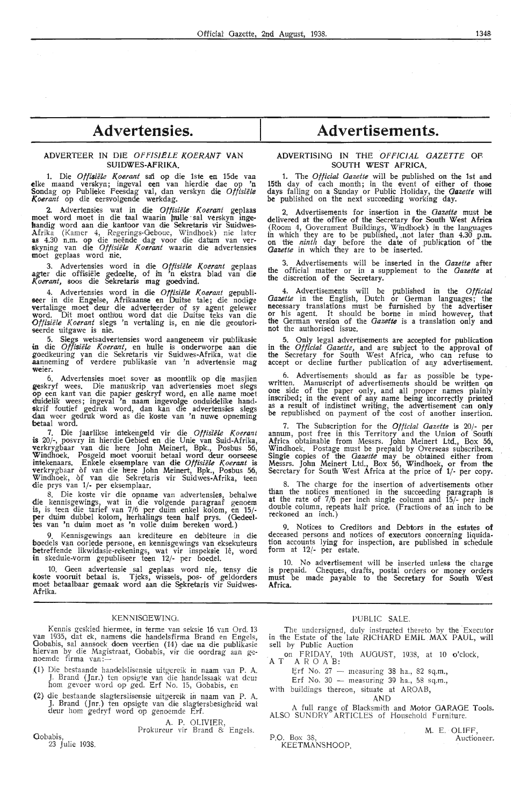## **Advertensies.**

#### ADVERTEER IN DIE *OFFISIELE KOERANT* VAN **SUIDWES-AFRIKA.**

1. Die *0ffisiele K.oerant* sai op die lste en 15de vaa elk,e maand verskyn; ingeval een van hierdie dae op 'n Sondag op Publieke Feesdag val, dan verskyn die Offisiële *Koerant* op die eersvolgende werkdag.

**2.** Advertensies wat in die *0ffisiele Koerant* geplaas moet word moet in die taal waarin pulle · sal verskyn ingehandig word aan die kantoor van die Sekretaris vir Suidwes-Afrika (Kamer 4, Regerings-Geboue, Windhoek} nie l'ater **as** 4.30 n.m. op die neende dag voor die datum van ver- skyning van die *0ffisiele K.oerant* waartn die advertensies moet geplaas word nie.

3. Advertensies word in die Offisiële Koerant geplaas agter die offisiële gedeelte, of in 'n ekstra blad van die Koerant, soos die Sekretaris mag goedvind.

4. Advertensies word in die *Offisiële Koerant* gepubli-<br>seer in die Engelse, Afrikaanse en Duitse tale; die nodige vertalinge moet deur die adverteerder of sy agent gelewer word. Dit moet onthou word dat die Duitse teks van die *Offisiele K.oerant* slegs 'n vertaling is, en nie die geoutori seerde uitgawe is nie.

5. Slegs wetsadvertensies word aangeneem vir publikasie in die *0ffisiele Koerant,* en hulle is onderworpe aan die goedkeuring van die Sekretaris vir Suidwes-Afrika, wat die aanneming of verdere publikasie van 'n advertensie mag **weier.** 

6. Advertensies moet sover as moontlik op die masjien geskryf wees. Die manuskrip van advertensies moet slegs op een kant van die papier geskryf word, en alle name moet duidelik wees; ingeval 'n naam ingevolge onduidelike handskrif foutief gedruk word, dan kan die advertensies slegs dan weer gedruk word as die koste van 'n nuwe opneming betaal word.

7. Die jaarlikse intekengeld vir die Offisiële Koerant is 20/-, posvry in hierdie Gebied en die Unie van Suid-Afrika, verkrygbaar van die here John Meinert, Bpk., Posbus 56, Windhoek. Posgeld moet vooruit betaal word deur oorseese intekenaars. Enkele eksemplare van die *Offisiële Koerant* is verkrygbaar of van die here John Meinert, Bpk., Posbus 56, Windhoek, of van die Sekretaris vir Suidwes-Afrika, teen die prys van 1/- per eksemplaar.

8. Die koste vir die opname van advertensies, behalwe die kennisgewings, wat in die volgende paragraaf genoem is, is teen die tarief van 7 /6 per duim enkel kolom, en 15/ per duim dubbel kolom, herhalings teen half prys. (Gedeeltes van 'n duim moet as 'n volle duim bereken word.)

9. Kennisgewings aan krediteure en debiteure in die boedels van oorlede persone, en kennisgewings van eksekuteurs betreffende likwidasie-rekenings, wat vir inspeksie lê, word in skedule-vorm gepubliseer teen 12/- per boedel.

10. Geen advertensie sal geplaas word nie, tensy **die**  koste vooruit betaal is. Tjeks, wissels, pos- of geldorders moet betaalbaar gemaak word aan die Sekretaris vir Suidwes-Afrika.

#### KENNISGEWINO.

Kennis geskied hiermee, in terme van seksie 16 van Ord. 13 van 1935, dat ek, namens die handelsfirma Brand en Engels, Gobabis, sal aansoek doen veertien (14) dae na die publikasie<br>hiervan by die Magistraat, Gobabis, vir die oordrag aan geniervan by die Magis<br><mark>n</mark>oemde firm<mark>a</mark> van:—

- \_(1} Die bestaande handelslisensie uitgeretk in naam van P. A. J. Brand (Jnr.) ten opsigte van die handelssaak wat deur<br>hom gevoer word op ged. Erf No. 15, Gobabis, en
- (2) die bestaande slagterslisensie uitgereik in naam van P. A.<br>J. Brand (Jnr.) ten opsigte van die slagtersbesigheid wat deur horn gedryf word op genoemde Erf.

A. P. OLIVIER, Prokureur vir Brand & Engels.

Gobabis, 23 Julie 193\$.

## **Advertisements.**

#### ADVERTISING IN THE *OFFICIAL GAZETTE* OF, SOUTH WEST AFRICA.

1. The *Official Gazette* will he published on the 1st and 15th day of each month; in the event of either of those days falling on a Sunday or Public Holiday, the *Gazette* will be published on the next succeeding working day.

Advertisements for insertion in the *Gazette* must be delivered at the office of the Secretary for South **West Africa**  (Room 4, Government Buildings, Windhoek) in the languages in which they are to be published, ,not later than 4.30 p.m. on the *ninth* day before the date of publiq1.tion of the *Gazette* in which they are to be inserted.

3. Advertisements will be inserted in the *Gazette* **after**  the official matter or in a supplement to the *Gazette* at the discretion of the Secretary.

4. Advertisements will be published in the *Official Gazette* in the English, Dutch or German languages; the necessary translations must be furnished by the advertiser or his agent. It should be borne in mind however, that the German version of the *Gazette* is a translation only **and**  not the authorised issue.

5. Only legal advertisements are acoepted for publication in the *Official Gazette*, and are subject to the approval of the Secretary for South West Africa, who can refuse to accept or decline further publication of any advertisement.

6. Advertisements should as far as possible be typewritten. Manuscript of advertisements should be written on one side of the paper only, and all proper names plainly inscribed; in the event of any name being incorrectly printed as a result of indistinct writing, the advertisement can only be republished on payment of the cost of another insertion.

7. The Subscription for the *Official Gazette* is 20/- per annum, post free in this Territory and the Union of South Africa obtainable from Messrs. John Meinert Ltd., Box 56, Windhoek. Postage must be prepaid by Overseas subscribers. Single copies of the *Gazette* may be obtained either from Messrs. John Meinert Ltd., Box 56, Windhoek, or from the Secretary for South West Africa at the price of 1/- per copy.

8. The charge for the insertion of advertisements other than the notices mentioned in the succeeding paragraph is at the rate of 7/6 per inch single column and 15/- per inch double column, repeats half price. (Fractions of an inch to **be**  reckoned an inch.)

9. Notices to Creditors and Debtors in the estates **of**  deceased persons and notices of executors concerning liquidation accounts lying for inspection, are published in schedule form at *12!-* per estate.

10. No advertisement will he inserted unless the charge is prepaid. Cheques, drafts, postal orders or money orders must be made payable to the Secretary for South West **Africa.** 

#### PUBLIC SALE.

The undersigned, duly instructed thereto by the Executor in the Estate *of* the late .RICHARD EMIL MAX PAUL, will sell by Public Auction

19th AUGUST, 1938, at 10 o'clock, on FRIDAY, 1<br>A T A R O A B:

- Erf No.  $27$  measuring 38 ha., 82 sq.m.,
- Erf No. 30  $-$  measuring 39 ha., 58 sq.m.,

with buildings thereon, situate at AROAB,

AN D

A full range of Blacksmith and Motor GARAGE Tools.<br>ALSO SUNDRY ARTICLES of Household Furniture.

|               | M. E. OLIFF. |
|---------------|--------------|
| P.O. Box 38.  | Auctioneer.  |
| KEETMANSHOOP. |              |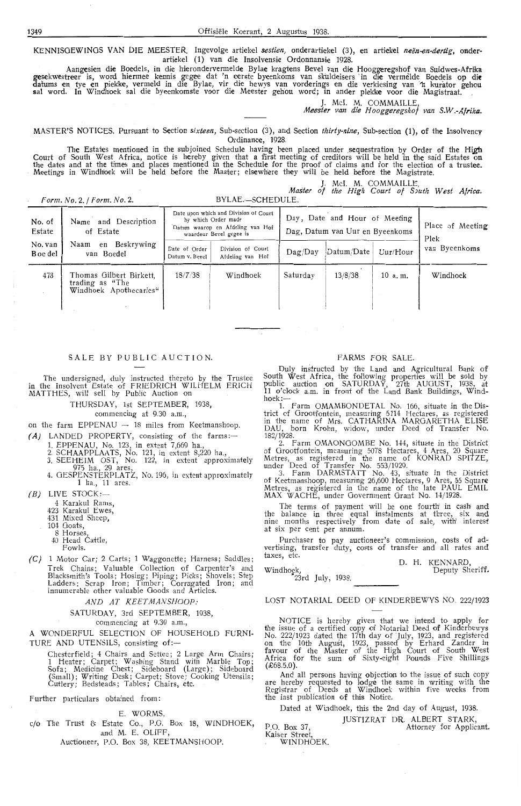KENNISGEWINGS VAN DIE MEESTER. Ingevolge artiekel *sestien,* onderartiekel (3), en artiekel *neen-en-dertig,* onderartiekel (1) van die Insolvensie Ordonnansie 1928.

Aangcsien die Boedels, in die hierondervermelde Bylae kragtens Bevel van die Hooggeregshof van Suidwes-Afrika gesekwestreer is, word hiermee kennis gegee dat 'n eerste byeenkoms van skuldeisers in die vermelde Boedels op die datums en tye en plekke, vermeld in die Bylae, vir die bewys van vorderings en die verkiesing van ´n kurator gehou sal word. In Windhoek sal die byeenkomste voor die Meester gehou word; in ander plekke voor die Magistraat.

J. Mel. M. COMMAILLE,

*Meester van die Hooggeregshof van S.W.-Afrika.* 

MASTER'S NOTICES. Pursuant to Section *sixteen*, Sub-section (3), and Section *thirty-nine*, Sub-section (1), of the Insolvency Ordinance, 1928.

The Estates mentioned in the subjoined Schedule having been placed under sequestration by Order of the High Court of South West Africa, notice is hereby given that a first meeting of creditors will be held in the said Estates on<br>the dates and at the times and places mentioned in the Schedule for the proof of claims and for the e Meetings in Windh'oek will be held before the Master; elsewhere they will be held before the Magistrate.

J. Mcl. M. COMMAILLE,<br>*Master of the High Court of South West Africa. Form. No.* 2. */Form.No.* 2. BYLAE.-SCHEDULE.

|                     | $\iota$ viii. $\iota$ v. $\iota$ , $\iota$ viii. $\iota$ v. $\iota$ .                                            |                                                                                                                             |          |          |                                                                  |                          |               |
|---------------------|------------------------------------------------------------------------------------------------------------------|-----------------------------------------------------------------------------------------------------------------------------|----------|----------|------------------------------------------------------------------|--------------------------|---------------|
| No. of<br>Estate    | and Description<br>Name<br>of Estate<br>Beskrywing<br>Naam<br>en<br>van Boedel<br>Thomas Gilbert Birkett,<br>473 | Date upon which and Division of Court<br>by which Order made<br>Datum waarop en Afdeling van Hof<br>waardeur Bevel gegee is |          |          | Day, Date and Hour of Meeting<br>Dag, Datum van Uur en Byeenkoms | Place of Meeting<br>Plek |               |
| No. van<br>B oe del |                                                                                                                  | Division of Court<br>Date of Order<br>Datum v. Bevel<br>Afdeling van Hof                                                    |          | Daq/Dav  | Datum/Date                                                       | Uur/Hour                 | van Byeenkoms |
|                     |                                                                                                                  | 18/7/38                                                                                                                     | Windhoek | Saturdav | 13/8/38                                                          | 10 a.m.                  | Windhoek      |

#### SALE BY PUBLIC AUCTION.

The undersigned, duly instructed thereto by the Trustee in the insolvent Estate of FRIEDRICH WILHELM ERICH MATTHES, will sell by Public Auction on

THURSDAY, 1st SEPTEMBER, 1938,

commencing at 9.30 a.m.,

on the farm  $EPPENAU - 18$  miles from Keetmanshoop.

(A) LANDED PROPERTY, consisting of the farms:-

1. EPPENAU, No. 123, in extent 7,669 ha., 2. SCHAAPPLAATS, No. 121, in extent 8,220 ha.,

- 3. SEEHEIM OST, No. 122, in extent approximately
- 975 ha., 29 ares, 4. GESPENSTERPLATZ, No. 196, in extent approximately
- 1 ha., 11 ares.

 $(B)$  LIVE STOCK:-

4 Karakul Rams,

trading as "The Windhoek Apothecaries"

423 Karakul Ewes,

431 Mixed Sheep,

104 Goats,

8 Horses

40 Head Cattle,

Fowls.

*(C)* 1 Motor Car; 2 Carts; 1 Waggonette; Harness; Saddles; Trek Chains; Valuable Collection of Carpenter's and Blacksmith's Tools; Hosing; Piping; Picks; Shovels; Step Ladders; Scrap Iron; Timber; Corrugated Iron; and innumerable other valuable Goods and Articles.

#### AND AT KEETMANSHOOP:

#### SATURDAY, 3rd SEPTEMBER, 1938,

commencing at 9.30 a.m.,

A WONDERFUL SELECTION OF HOUSEHOLD FURNI-TURE AND UTENSILS, consisting of:-

Chesterfield; 4 Chairs and Settee; 2 Large Arm Chairs; 1 Heater; Carpet; Washing Stand with Marble Top; Sofa; Medicine Chest; Sideboard (Large}; Sideboard (Small); Writing Desk; Carpet; Stove; Cooking Utensils; Cutlery; Bedsteads; Tables; Chairs, etc.

Further particulars obtained from:

#### E. WORMS,

c/o The Trust & Estate Co., P.O. Box 18, WINDHOEK, and M. E. OLIFF,

Auctioneer, P.O. Box 38, KEETMANSHOOP.

#### FARMS FOR SALE.

Duly instructed by the Land and Agricultural Bank of South West Africa, the following properties will be sold by public auction on SATURDAY, 27th AUGUST, 1938, at 11 o'clock a.m. in front of the Land Bank Buildings, Windhoek:--

1. Farm OMAMBONDETAL No. 166, situate in the District of Grootfontein, measuring 5114 Hectares, as registered in the name of Mrs. CATHARINA MARGARETHA ELISE DAU, born Krohn, widow, under Deed of Transfer No.

182/1928.<br>
2. Farm OMAONGOMBE No. 144, situate in the District of Grootfontein, measuring 5078 Hectares, 4 Ares, 20 Square Metres, as registered in the name of KONRAD SPITZE, under Deed of Transfer No. 553/1929.

3. Farm DARMSTATT No. 43, situate in the District of Keetmanshoop, measuring 26,600 Hectares, 9 Ares, 55 Square Metres, as registered in the name of the late PAUL EMIL MAX WACHE, under Government Grant No. 14/ 1928.

The terms of payment will be one fourth in cash and the balance in three equal instalments at three, six and nine months respectively from date of sale, with interest at six per cent per annum.

Purchaser to pay auctioneer's commission, costs of advertising, transfer duty, costs of transfer and all rates and taxes, etc.

D. H. KENNARD, Deputy Sheriff.

Windhoek, "23rd July, 1938.

LOST NOTARIAL DEED OF KINDERBEWYS NO. 222/1923

NOTICE is hereby given that we intend to apply for the issue of a certified copy of Notarial' Deed of Kinderbewys No. 222/ 1923 dated the 17th day of July, 1923, and registered on the 10th August, 1923, passed by Erhard Zander in favour of the Master of the High Court of South West Africa for the sum of Sixty-eight Pounds Five Shillings  $(E68.5.0)$ .

And all persons having objection to the issue of such copy are hereby requested to lodge the same in writing with the Registrar of Deeds at Windhoek within five weeks from the last publication of this Notice.

Dated at Windhoek, this the 2nd day of August, 1938.

JUSTIZRAT DR. ALBERT STARK,

Kaiser Street

WINDHÓEK.

P.O. Box 37, Attorney for Applicant.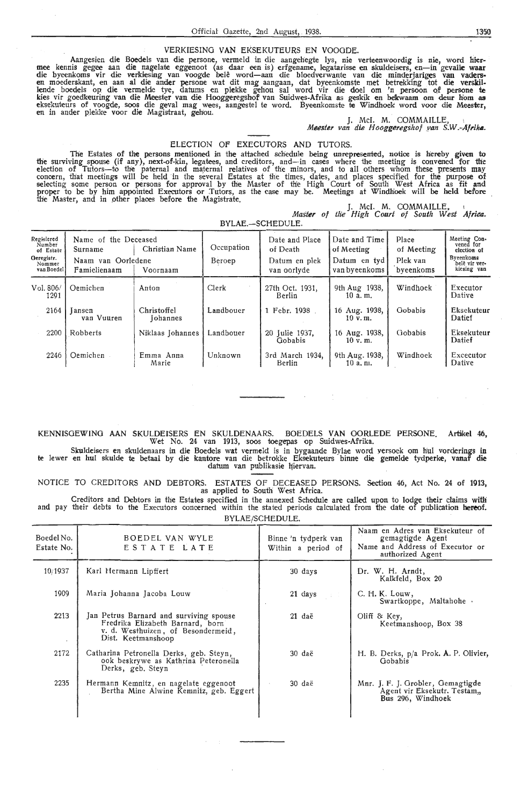#### VERKIESING **VAN** EKSEKUTEURS EN VOOGDE.

Aangesien die Boedels van die persone, vermeld in die aangehegte lys, nie verteenwoordig is nie, word hier-<br>mee kennis gegee aan die nagelate eggenoot (as daar een is) erfgename, legatarisse en skuldeisers, en—in gevalle w die byeenkoms vir die verkiesing van voogde belê word—aan die bloedverwante van die minderjariges van vaders<br>en moederskant, en aan al die ander persone wat dit mag aangaan, dat byeenkomste met betrekking tot die verskil lende boedels op die vermelde tye, datums en plekke gehou sal word vir die doe! om 'n persoon Qf persone te kies vir goedkeuring van die Meester van die Hooggeregshof van Suidwes-Afrika as geskik en bekwaam om deur hom as eksekuteurs of voogde, soos die geval mag wees, aangestel te word. Byeenkomste te Windhoek word voor die Mees**t**er, en in ander plekke voor die Magistraat, gehou.

J. McI. M. COMMAILLE, *Meester van die Hooggeregshof .van* **S.W.-Afriko.** 

#### ELECTION OF EXECUTORS AND TUTORS.

The Estates of the persons mentioned in the attached schedule being unrepresented, notice is hereby given to<br>the surviving spouse (if any), next-of-kin, legatees, and creditors, and—in cases where the meeting is convened f election of Tutors-to the paternal and maternal relatives of the minors, and to all others whom these presents may concern, th'at meetings will be held in the several Estates at the times, dates, and plaoes specified for the purpose of selecting some person or persons for approval by the Master of the High Court of South West Africa as fit and proper to be by him appointed Executors or Tutors, as the case may be. Meetings at Windhoek will be held before the Master, and in other places before the Magistrate.

J. McI. M. COMMAILLE,<br>Master of the High Court of South West **Africa**. BYLAE.-SCHEDULE.

| Regisiered<br>Number<br>of Estate<br>Geregistr.<br>Nommer<br>van Boedel | Name of the Deceased<br>Surname<br>Naam van Oorledene<br>Famielienaam | Christian Name<br>Voornaam      | Occupation<br>Beroep | Date and Place<br>of Death<br>Datum en plek<br>van oorlyde | Date and Time<br>of Meeting<br>Datum en tyd<br>van byeenkoms | Place<br>of Meeting<br>Plek van<br>byeenkoms | Meeting Con-<br>vened for<br>election of<br>Byeenkoms<br>belê vir ver-<br>kiesing van |
|-------------------------------------------------------------------------|-----------------------------------------------------------------------|---------------------------------|----------------------|------------------------------------------------------------|--------------------------------------------------------------|----------------------------------------------|---------------------------------------------------------------------------------------|
| Vol. 806/<br>1291                                                       | Oemichen                                                              | Anton                           | Clerk                | 27th Oct. 1931.<br>Berlin                                  | 9th Aug 1938,<br>10a.m.                                      | Windhoek                                     | Executor<br>Dative                                                                    |
| 2164                                                                    | <b>Jansen</b><br>van Vuuren                                           | Christoffel<br><b>I</b> ohannes | Landbouer            | 1 Febr. 1938                                               | 16 Aug. 1938,<br>$10 \text{ v}$ . m.                         | Gobabis                                      | Eksekuteur<br>Datief                                                                  |
| 2200                                                                    | Robberts                                                              | Niklaas Johannes                | Landbouer            | 20 Iulie 1937.<br>Gobabis                                  | 16 Aug. 1938,<br>$10 \text{ v}$ . m.                         | Gobabis                                      | Eksekuteur<br>Datief                                                                  |
| 2246                                                                    | Oemichen                                                              | Emma Anna<br>Marie              | Unknown              | 3rd March 1934,<br>Berlin                                  | 9th Aug. 1938,<br>10 a. n.                                   | Windhoek                                     | Excecutor<br>Dative                                                                   |

#### KENNISGEWING AAN SKULDEISERS EN SKULDENAARS. BOEDELS VAN OORLEDE PERSONE. **Artikel** 46, Wet No. 24 van 1913, soos toegepas op Suidwes-Afrika.

Skuldeisers en skuldenaars in die Boedels wat vermeld is in bygaande Bylae word yersoek om hul vorderings in te lewer en hul skulde te betaal by die kantore van die betrokke Eksekuteurs binne die gemelde tydperke, vanaf die datum van publikasie hiervan.

NOTICE TO CREDITORS AND DEBTORS. ESTATES OF DECEASED PERSONS. Section 46, Act No. 24 of **1913,** as applied to South West Africa.

Creditors and Debtors in the Estates specified in the annexed Schedule are called upon to lodge their claims with and pay their debts to the Executors concerned within the stated periods calculated from the date of publication hereof. BYLAE/SCHEDULE.

| BOEDEL VAN WYLE<br>ESTATE LATE                                                                                                          | Binne 'n tydperk van<br>Within a period of | Naam en Adres van Eksekuteur of<br>gemagtigde Agent<br>Name and Address of Executor or<br>authorized Agent |
|-----------------------------------------------------------------------------------------------------------------------------------------|--------------------------------------------|------------------------------------------------------------------------------------------------------------|
| Karl Hermann Lipffert                                                                                                                   | 30 days                                    | Dr. W. H. Arndt,<br>Kalkfeld, Box 20                                                                       |
| Maria Johanna Jacoba Louw                                                                                                               | 21 days                                    | C. H. K. Louw,<br>Swartkoppe, Maltahohe .                                                                  |
| Jan Petrus Barnard and surviving spouse<br>Fredrika Elizabeth Barnard, born<br>v. d. Westhuizen, of Besondermeid,<br>Dist. Keetmanshoop | $21$ daë                                   | Oliff $\&$ Key,<br>Keetmanshoop, Box 38                                                                    |
| Catharina Petronella Derks, geb. Steyn,<br>ook beskrywe as Kathrina Peteronella<br>Derks, geb. Steyn                                    | 30 daë                                     | H. B. Derks, p/a Prok. A. P. Olivier,<br>Gobabis                                                           |
| Hermann Kemnitz, en nagelate eggenoot<br>Bertha Mine Alwine Kemnitz, geb. Eggert                                                        | 30 daë                                     | Mnr. J. F. J. Grobler, Gemagtigde<br>Agent vir Eksekutr. Testam,<br>Bus 296, Windhoek                      |
|                                                                                                                                         |                                            |                                                                                                            |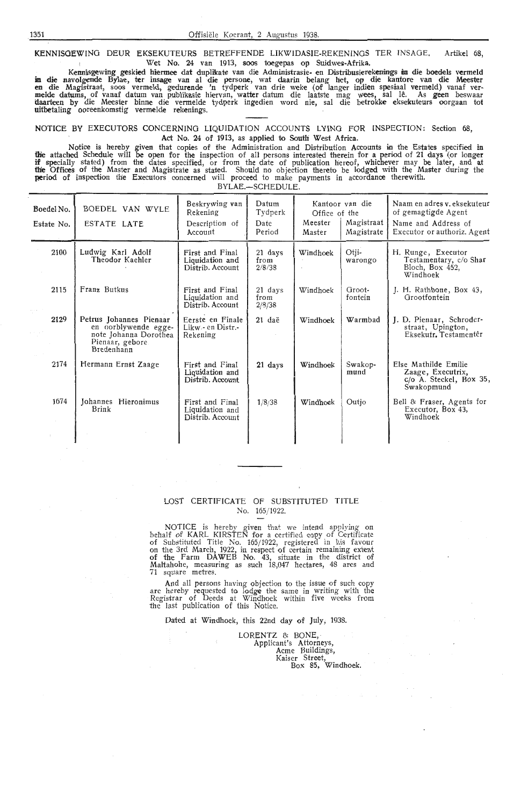**KENNISGEWING DEUR EKSEKUTEURS BETREFFENDE LIKWIDASIE-REKENINGS TER INSAGE.** Artikel 68,<br>Wet No. 24 van 1913, soos toegepas op Suidwes-Afrika. Wet No. 24 van 1913, soos toegepas op Suidwes-Afrika.

Kennisgewing geskied hiermee dat duplikate van die Administrasie- en Distribusierekenings in die boedels vermeld **in die** navolgende Bylae, ter insage van al die persone, wat daarin belang het, op die kantore van die Meester<br>en die Magistraat, soos vermeld, gedurende 'n tydperk van drie weke (of langer indien spesiaal vermeld) vanaf daarteen by die Meester binne die vermelde tydperk ingedien word nie, sal die betrokke eksekuteurs oorgaan tot **uitbetaling oo**reenkomstig vermelde rekenings.

#### NOTICE BY EXECUTORS CONCERNING LIQUIDATION ACCOUNTS LYING FOR INSPECTION: Section 68, Act No. 24 of 1913, as applied to South West Africa.

Notice is hereby given that copies of the Administration and Distribution Accounts in the Estates specified in the attached Schedule will be open for the inspection of all persons interested therein for a period of 21 days (or longer if specially stated) from the dates specified, or from the date of publication hereof, whichever may be later, and at **the Offices of the Master and Magistrate as stated.** Should no objection thereto be lodged with the Master during the **period of inspection the Executors concerned will proceed to make payments in accordance therewith.** BYLAE.-SCHEDULE.

| Boedel No.<br>Estate No. | BOEDEL VAN WYLE<br>ESTATE LATE                                                                             | Beskrywing van<br>Rekening<br>Description of<br>Account | Datum<br>Tydperk<br>Date<br>Period | Office of the<br>Meester<br>Master | Kantoor van die<br>Magistraat<br>Magistrate | Naam en adres v. eksekuteur<br>of gemagtigde Agent<br>Name and Address of<br>Executor or authoriz. Agent |
|--------------------------|------------------------------------------------------------------------------------------------------------|---------------------------------------------------------|------------------------------------|------------------------------------|---------------------------------------------|----------------------------------------------------------------------------------------------------------|
| 2100                     | Ludwig Karl Adolf<br>Theodor Kaehler                                                                       | First and Final<br>Liquidation and<br>Distrib. Account  | 21 days<br>from<br>2/8/38          | Windhoek                           | Otji-<br>warongo                            | H. Runge, Executor<br>Testamentary, c/o Shar<br>Bloch, Box 452,<br>Windhoek                              |
| 2115                     | Franz Butkus                                                                                               | First and Final<br>Liquidation and<br>Distrib. Account  | 21 days<br>from<br>2/8/38          | Windhoek                           | Groot-<br>fontein                           | J. H. Rathbone, Box 43,<br>Grootfontein                                                                  |
| 2129                     | Petrus Johannes Pienaar<br>en oorblywende egge-<br>note Johanna Dorothea<br>Pienaar, gebore.<br>Bredenhann | Eerste en Finale<br>Likw - en Distr.-<br>Rekening       | 21 daë                             | Windhoek                           | Warmbad                                     | J. D. Pienaar, Schroder-<br>straat, Upington,<br>Eksekutr. Testamentêr                                   |
| 2174                     | Hermann Ernst Zaage                                                                                        | First and Final<br>Liquidation and<br>Distrib. Account  | 21 days                            | Windhoek                           | Swakop-<br>mund                             | Else Mathilde Emilie<br>Zaage, Executrix,<br>$c/o$ A. Steckel, Box 35,<br>Swakopmund                     |
| 1674                     | Johannes Hieronimus<br>Brink                                                                               | First and Final<br>Liquidation and<br>Distrib. Account  | 1/8/38                             | Windhoek                           | Outjo                                       | Bell & Fraser, Agents for<br>Executor, Box 43,<br>Windhoek                                               |
|                          |                                                                                                            |                                                         |                                    |                                    |                                             |                                                                                                          |

### LOST CERTIFICATE OF SUBSTITUTED TITLE No. 165/ 1922.

NOTICE is hereby given that we intend applying on behalf of KARL KIRSTEN for a certified copy of Certificate of Substituted Title No. 165/1922, registered in his favour<br>on the 3rd March, 1922, in respect of certain remaining extent of the Farm DA WEB No. 43, situate *in* the district of Maltahohe, measuring as such 18,047 hectares, 48 ares and 71 square metres.

And all persons having objection to the issue of such copy are hereby requested to lodge the same in writing with the Registrar of Deeds at Windhoek within five weeks from the last publication of this Notice.

Dated at Windhoek, this 22nd day of July, 1938.

LORENTZ & BONE, Applicant's Attorneys, Acme Buildings, Kaiser Street, Box 85, Windhoek.